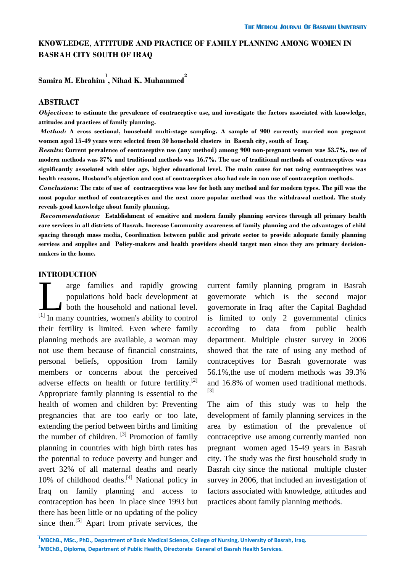## **KNOWLEDGE, ATTITUDE AND PRACTICE OF FAMILY PLANNING AMONG WOMEN IN BASRAH CITY SOUTH OF IRAQ**

# **Samira M. Ebrahim 1 , Nihad K. Muhammed 2**

### **ABSTRACT**

*Objectives:* **to estimate the prevalence of contraceptive use, and investigate the factors associated with knowledge, attitudes and practices of family planning.**

*Method:* **A cross sectional, household multi-stage sampling. A sample of 900 currently married non pregnant women aged 15-49 years were selected from 30 household clusters in Basrah city, south of Iraq.**

*Results:* **Current prevalence of contraceptive use (any method) among 900 non-pregnant women was 53.7%, use of modern methods was 37% and traditional methods was 16.7%. The use of traditional methods of contraceptives was significantly associated with older age, higher educational level. The main cause for not using contraceptives was health reasons. Husband's objection and cost of contraceptives also had role in non use of contraception methods.**

*Conclusions:* **The rate of use of contraceptives was low for both any method and for modern types. The pill was the most popular method of contraceptives and the next more popular method was the withdrawal method. The study reveals good knowledge about family planning.**

*Recommendations:* **Establishment of sensitive and modern family planning services through all primary health care services in all districts of Basrah. Increase Community awareness of family planning and the advantages of child spacing through mass media, Coordination between public and private sector to provide adequate family planning services and supplies and Policy-makers and health providers should target men since they are primary decisionmakers in the home.**

## **INTRODUCTION**

arge families and rapidly growing populations hold back development at both the household and national level. THEODOCLIDIN<br>
arge families and rapidly growing<br>
populations hold back development at<br>
both the household and national level.<br>
<sup>[1]</sup> In many countries, women's ability to control their fertility is limited. Even where family planning methods are available, a woman may not use them because of financial constraints, personal beliefs, opposition from family members or concerns about the perceived adverse effects on health or future fertility.<sup>[2]</sup> Appropriate family planning is essential to the health of women and children by: Preventing pregnancies that are too early or too late, extending the period between births and limiting the number of children.  $[3]$  Promotion of family planning in countries with high birth rates has the potential to reduce poverty and hunger and avert 32% of all maternal deaths and nearly 10% of childhood deaths. $[4]$  National policy in Iraq on family planning and access to contraception has been in place since 1993 but there has been little or no updating of the policy since then.<sup>[5]</sup> Apart from private services, the

current family planning program in Basrah governorate which is the second major governorate in Iraq after the Capital Baghdad is limited to only 2 governmental clinics according to data from public health department. Multiple cluster survey in 2006 showed that the rate of using any method of contraceptives for Basrah governorate was 56.1%,the use of modern methods was 39.3% and 16.8% of women used traditional methods. [3]

The aim of this study was to help the development of family planning services in the area by estimation of the prevalence of contraceptive use among currently married non pregnant women aged 15-49 years in Basrah city. The study was the first household study in Basrah city since the national multiple cluster survey in 2006, that included an investigation of factors associated with knowledge, attitudes and practices about family planning methods.

**<sup>1</sup>MBChB., MSc., PhD., Department of Basic Medical Science, College of Nursing, University of Basrah, Iraq. <sup>2</sup>MBChB., Diploma, Department of Public Health, Directorate General of Basrah Health Services.**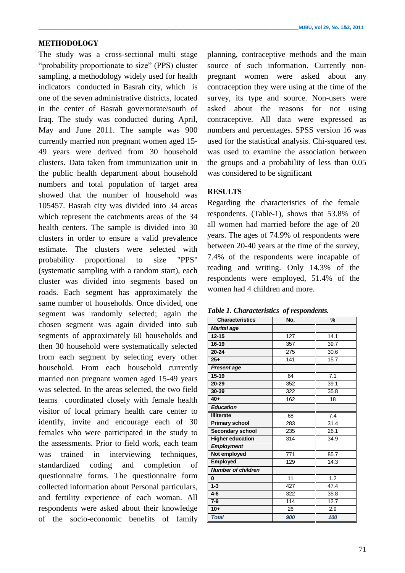### **METHODOLOGY**

The study was a cross-sectional multi stage "probability proportionate to size" (PPS) cluster sampling, a methodology widely used for health indicators conducted in Basrah city, which is one of the seven administrative districts, located in the center of Basrah governorate/south of Iraq. The study was conducted during April, May and June 2011. The sample was 900 currently married non pregnant women aged 15- 49 years were derived from 30 household clusters. Data taken from immunization unit in the public health department about household numbers and total population of target area showed that the number of household was 105457. Basrah city was divided into 34 areas which represent the catchments areas of the 34 health centers. The sample is divided into 30 clusters in order to ensure a valid prevalence estimate. The clusters were selected with probability proportional to size "PPS" (systematic sampling with a random start), each cluster was divided into segments based on roads. Each segment has approximately the same number of households. Once divided, one segment was randomly selected; again the chosen segment was again divided into sub segments of approximately 60 households and then 30 household were systematically selected from each segment by selecting every other household. From each household currently married non pregnant women aged 15-49 years was selected. In the areas selected, the two field teams coordinated closely with female health visitor of local primary health care center to identify, invite and encourage each of 30 females who were participated in the study to the assessments. Prior to field work, each team was trained in interviewing techniques, standardized coding and completion of questionnaire forms. The questionnaire form collected information about Personal particulars, and fertility experience of each woman. All respondents were asked about their knowledge of the socio-economic benefits of family

planning, contraceptive methods and the main source of such information. Currently nonpregnant women were asked about any contraception they were using at the time of the survey, its type and source. Non-users were asked about the reasons for not using contraceptive. All data were expressed as numbers and percentages. SPSS version 16 was used for the statistical analysis. Chi-squared test was used to examine the association between the groups and a probability of less than 0.05 was considered to be significant

## **RESULTS**

Regarding the characteristics of the female respondents. (Table-1), shows that 53.8% of all women had married before the age of 20 years. The ages of 74.9% of respondents were between 20-40 years at the time of the survey, 7.4% of the respondents were incapable of reading and writing. Only 14.3% of the respondents were employed, 51.4% of the women had 4 children and more.

| <b>Characteristics</b>    | No. | %    |
|---------------------------|-----|------|
| <b>Marital age</b>        |     |      |
| $12 - 15$                 | 127 | 14.1 |
| 16-19                     | 357 | 39.7 |
| $20 - 24$                 | 275 | 30.6 |
| $25+$                     | 141 | 15.7 |
| <b>Present age</b>        |     |      |
| $15 - 19$                 | 64  | 7.1  |
| 20-29                     | 352 | 39.1 |
| 30-39                     | 322 | 35.8 |
| $40+$                     | 162 | 18   |
| <b>Education</b>          |     |      |
| <b>Illiterate</b>         | 68  | 7.4  |
| <b>Primary school</b>     | 283 | 31.4 |
| Secondary school          | 235 | 26.1 |
| <b>Higher education</b>   | 314 | 34.9 |
| <b>Employment</b>         |     |      |
| Not employed              | 771 | 85.7 |
| <b>Employed</b>           | 129 | 14.3 |
| <b>Number of children</b> |     |      |
| $\bf{0}$                  | 11  | 1.2  |
| $1-3$                     | 427 | 47.4 |
| $4 - 6$                   | 322 | 35.8 |
| $7-9$                     | 114 | 12.7 |
| $10+$                     | 26  | 2.9  |
| <b>Total</b>              | 900 | 100  |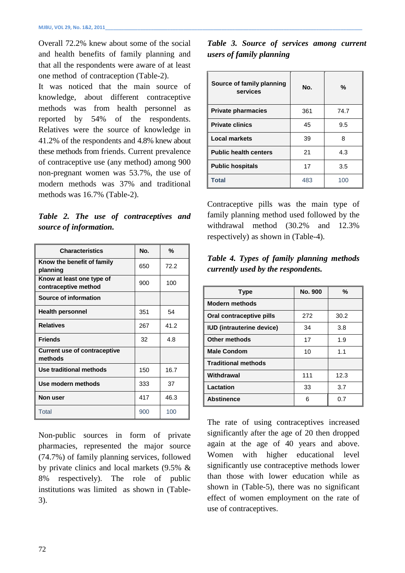Overall 72.2% knew about some of the social and health benefits of family planning and that all the respondents were aware of at least one method of contraception (Table-2).

It was noticed that the main source of knowledge, about different contraceptive methods was from health personnel as reported by 54% of the respondents. Relatives were the source of knowledge in 41.2% of the respondents and 4.8% knew about these methods from friends. Current prevalence of contraceptive use (any method) among 900 non-pregnant women was 53.7%, the use of modern methods was 37% and traditional methods was 16.7% (Table-2).

*Table 2. The use of contraceptives and source of information.*

| <b>Characteristics</b>                            | No. | %    |
|---------------------------------------------------|-----|------|
| Know the benefit of family<br>planning            | 650 | 72.2 |
| Know at least one type of<br>contraceptive method | 900 | 100  |
| Source of information                             |     |      |
| <b>Health personnel</b>                           | 351 | 54   |
| <b>Relatives</b>                                  | 267 | 41.2 |
| <b>Friends</b>                                    | 32  | 4.8  |
| <b>Current use of contraceptive</b><br>methods    |     |      |
| Use traditional methods                           | 150 | 16.7 |
| Use modern methods                                | 333 | 37   |
| Non user                                          | 417 | 46.3 |
| <b>Total</b>                                      | 900 | 100  |

Non-public sources in form of private pharmacies, represented the major source (74.7%) of family planning services, followed by private clinics and local markets (9.5% & 8% respectively). The role of public institutions was limited as shown in (Table-3).

*Table 3. Source of services among current users of family planning*

| Source of family planning<br>services | No. | %    |
|---------------------------------------|-----|------|
| <b>Private pharmacies</b>             | 361 | 74.7 |
| <b>Private clinics</b>                | 45  | 9.5  |
| <b>Local markets</b>                  | 39  | 8    |
| <b>Public health centers</b>          | 21  | 4.3  |
| <b>Public hospitals</b>               | 17  | 3.5  |
| <b>Total</b>                          | 483 | 100  |

Contraceptive pills was the main type of family planning method used followed by the withdrawal method (30.2% and 12.3% respectively) as shown in (Table-4).

*Table 4. Types of family planning methods currently used by the respondents.*

| <b>Type</b>                      | <b>No. 900</b> | %    |
|----------------------------------|----------------|------|
| <b>Modern methods</b>            |                |      |
| Oral contraceptive pills         | 272            | 30.2 |
| <b>IUD</b> (intrauterine device) | 34             | 3.8  |
| Other methods                    | 17             | 1.9  |
| <b>Male Condom</b>               | 10             | 1.1  |
| <b>Traditional methods</b>       |                |      |
| Withdrawal                       | 111            | 12.3 |
| Lactation                        | 33             | 3.7  |
| <b>Abstinence</b>                | 6              | 0.7  |

The rate of using contraceptives increased significantly after the age of 20 then dropped again at the age of 40 years and above. Women with higher educational level significantly use contraceptive methods lower than those with lower education while as shown in (Table-5), there was no significant effect of women employment on the rate of use of contraceptives.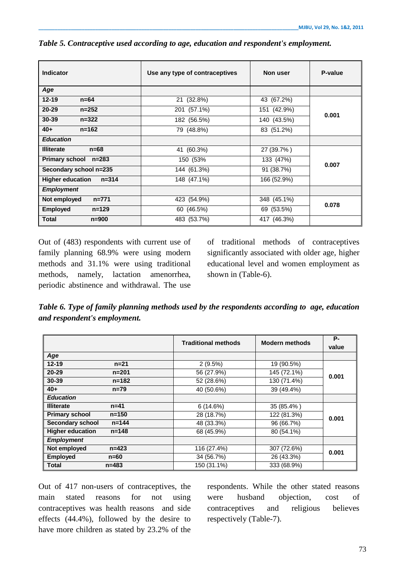| <b>Indicator</b>                     | Use any type of contraceptives | Non user    | P-value |  |
|--------------------------------------|--------------------------------|-------------|---------|--|
| Age                                  |                                |             |         |  |
| $12 - 19$<br>$n=64$                  | 21 (32.8%)                     | 43 (67.2%)  |         |  |
| $20 - 29$<br>$n = 252$               | 201 (57.1%)                    | 151 (42.9%) | 0.001   |  |
| 30-39<br>$n = 322$                   | 182 (56.5%)                    | 140 (43.5%) |         |  |
| $40+$<br>$n = 162$                   | 79 (48.8%)                     | 83 (51.2%)  |         |  |
| <b>Education</b>                     |                                |             |         |  |
| <b>Illiterate</b><br>$n=68$          | 41 (60.3%)                     | 27 (39.7%)  |         |  |
| Primary school n=283                 | 150 (53%                       | 133 (47%)   | 0.007   |  |
| Secondary school n=235               | 144 (61.3%)                    | 91 (38.7%)  |         |  |
| <b>Higher education</b><br>$n = 314$ | 148 (47.1%)                    | 166 (52.9%) |         |  |
| <b>Employment</b>                    |                                |             |         |  |
| $n=771$<br>Not employed              | 423 (54.9%)                    | 348 (45.1%) | 0.078   |  |
| <b>Employed</b><br>$n = 129$         | 60 (46.5%)                     | 69 (53.5%)  |         |  |
| <b>Total</b><br>$n = 900$            | 483 (53.7%)                    | 417 (46.3%) |         |  |

*Table 5. Contraceptive used according to age, education and respondent's employment.*

Out of (483) respondents with current use of family planning 68.9% were using modern methods and 31.1% were using traditional methods, namely, lactation amenorrhea, periodic abstinence and withdrawal. The use of traditional methods of contraceptives significantly associated with older age, higher educational level and women employment as shown in (Table-6).

*Table 6. Type of family planning methods used by the respondents according to age, education and respondent's employment.*

|                                      | <b>Traditional methods</b> | <b>Modern methods</b> | <b>P-</b><br>value |
|--------------------------------------|----------------------------|-----------------------|--------------------|
| Age                                  |                            |                       |                    |
| $12 - 19$<br>$n = 21$                | 2(9.5%)                    | 19 (90.5%)            | 0.001              |
| 20-29<br>$n = 201$                   | 56 (27.9%)                 | 145 (72.1%)           |                    |
| 30-39<br>$n = 182$                   | 52 (28.6%)                 | 130 (71.4%)           |                    |
| $40+$<br>$n = 79$                    | 40 (50.6%)                 | 39 (49.4%)            |                    |
| <b>Education</b>                     |                            |                       |                    |
| <b>Illiterate</b><br>n=41            | 6(14.6%)                   | 35 (85.4%)            |                    |
| <b>Primary school</b><br>$n = 150$   | 28 (18.7%)                 | 122 (81.3%)           | 0.001              |
| <b>Secondary school</b><br>$n = 144$ | 48 (33.3%)                 | 96 (66.7%)            |                    |
| <b>Higher education</b><br>$n = 148$ | 68 (45.9%)                 | 80 (54.1%)            |                    |
| <b>Employment</b>                    |                            |                       |                    |
| Not employed<br>$n = 423$            | 116 (27.4%)                | 307 (72.6%)           | 0.001              |
| <b>Employed</b><br>$n=60$            | 34 (56.7%)                 | 26 (43.3%)            |                    |
| <b>Total</b><br>$n = 483$            | 150 (31.1%)                | 333 (68.9%)           |                    |

Out of 417 non-users of contraceptives, the main stated reasons for not using contraceptives was health reasons and side effects (44.4%), followed by the desire to have more children as stated by 23.2% of the

respondents. While the other stated reasons were husband objection, cost of contraceptives and religious believes respectively (Table-7).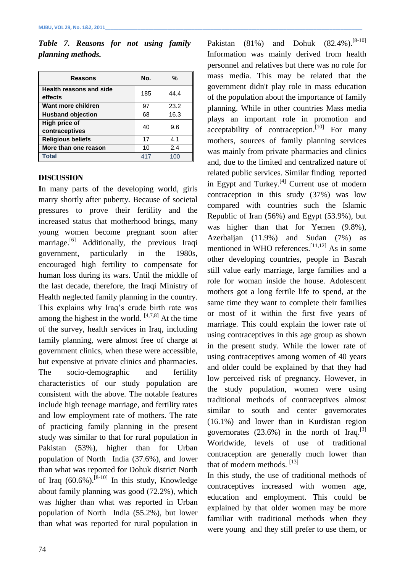| <b>Reasons</b>                            | No. | %    |
|-------------------------------------------|-----|------|
| <b>Health reasons and side</b><br>effects | 185 | 44.4 |
| Want more children                        | 97  | 23.2 |
| <b>Husband objection</b>                  | 68  | 16.3 |
| High price of<br>contraceptives           | 40  | 9.6  |
| <b>Religious beliefs</b>                  | 17  | 4.1  |
| More than one reason                      | 10  | 2.4  |
| <b>Total</b>                              | 417 | 100  |

*Table 7. Reasons for not using family planning methods.*

### **DISCUSSION**

**I**n many parts of the developing world, girls marry shortly after puberty. Because of societal pressures to prove their fertility and the increased status that motherhood brings, many young women become pregnant soon after marriage.<sup>[6]</sup> Additionally, the previous Iraqi government, particularly in the 1980s, encouraged high fertility to compensate for human loss during its wars. Until the middle of the last decade, therefore, the Iraqi Ministry of Health neglected family planning in the country. This explains why Iraq's crude birth rate was among the highest in the world.  $[4,7,8]$  At the time of the survey, health services in Iraq, including family planning, were almost free of charge at government clinics, when these were accessible, but expensive at private clinics and pharmacies. The socio-demographic and fertility characteristics of our study population are consistent with the above. The notable features include high teenage marriage, and fertility rates and low employment rate of mothers. The rate of practicing family planning in the present study was similar to that for rural population in Pakistan (53%), higher than for Urban population of North India (37.6%), and lower than what was reported for Dohuk district North of Iraq  $(60.6\%)$ .<sup>[8-10]</sup> In this study, Knowledge about family planning was good (72.2%), which was higher than what was reported in Urban population of North India (55.2%), but lower than what was reported for rural population in

74

Pakistan (81%) and Dohuk  $(82.4\%)$ . [8-10] Information was mainly derived from health personnel and relatives but there was no role for mass media. This may be related that the government didn't play role in mass education of the population about the importance of family planning. While in other countries Mass media plays an important role in promotion and acceptability of contraception.<sup>[10]</sup> For many mothers, sources of family planning services was mainly from private pharmacies and clinics and, due to the limited and centralized nature of related public services. Similar finding reported in Egypt and Turkey.<sup>[4]</sup> Current use of modern contraception in this study (37%) was low compared with countries such the Islamic Republic of Iran (56%) and Egypt (53.9%), but was higher than that for Yemen (9.8%), Azerbaijan (11.9%) and Sudan (7%) as mentioned in WHO references.  $[11, 12]$  As in some other developing countries, people in Basrah still value early marriage, large families and a role for woman inside the house. Adolescent mothers got a long fertile life to spend, at the same time they want to complete their families or most of it within the first five years of marriage. This could explain the lower rate of using contraceptives in this age group as shown in the present study. While the lower rate of using contraceptives among women of 40 years and older could be explained by that they had low perceived risk of pregnancy. However, in the study population, women were using traditional methods of contraceptives almost similar to south and center governorates (16.1%) and lower than in Kurdistan region governorates  $(23.6\%)$  in the north of Iraq.<sup>[3]</sup> Worldwide, levels of use of traditional contraception are generally much lower than that of modern methods.  $[13]$ 

In this study, the use of traditional methods of contraceptives increased with women age, education and employment. This could be explained by that older women may be more familiar with traditional methods when they were young and they still prefer to use them, or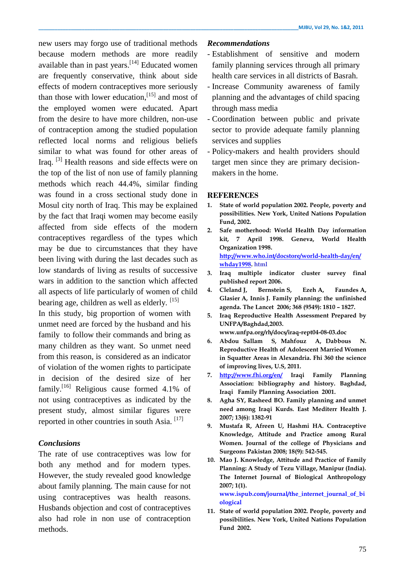new users may forgo use of traditional methods because modern methods are more readily available than in past years.<sup>[14]</sup> Educated women are frequently conservative, think about side effects of modern contraceptives more seriously than those with lower education,  $[15]$  and most of the employed women were educated. Apart from the desire to have more children, non-use of contraception among the studied population reflected local norms and religious beliefs similar to what was found for other areas of Iraq. <sup>[3]</sup> Health reasons and side effects were on the top of the list of non use of family planning methods which reach 44.4%, similar finding was found in a cross sectional study done in Mosul city north of Iraq. This may be explained by the fact that Iraqi women may become easily affected from side effects of the modern contraceptives regardless of the types which may be due to circumstances that they have been living with during the last decades such as low standards of living as results of successive wars in addition to the sanction which affected all aspects of life particularly of women of child bearing age, children as well as elderly. [15]

In this study, big proportion of women with unmet need are forced by the husband and his family to follow their commands and bring as many children as they want. So unmet need from this reason, is considered as an indicator of violation of the women rights to participate in decision of the desired size of her family.<sup>[16]</sup> Religious cause formed 4.1% of not using contraceptives as indicated by the present study, almost similar figures were reported in other countries in south Asia.<sup>[17]</sup>

## *Conclusions*

The rate of use contraceptives was low for both any method and for modern types. However, the study revealed good knowledge about family planning. The main cause for not using contraceptives was health reasons. Husbands objection and cost of contraceptives also had role in non use of contraception methods.

## *Recommendations*

- Establishment of sensitive and modern family planning services through all primary health care services in all districts of Basrah.
- Increase Community awareness of family planning and the advantages of child spacing through mass media
- Coordination between public and private sector to provide adequate family planning services and supplies
- Policy-makers and health providers should target men since they are primary decisionmakers in the home.

## **REFERENCES**

- **1. State of world population 2002. People, poverty and possibilities. New York, United Nations Population Fund, 2002.**
- **2. Safe motherhood: World Health Day information kit, 7 April 1998. Geneva, World Health Organization 1998. [http://www.who.int/docstore/world-health-day/en/](http://www.who.int/docstore/world-health-day/en/%20whday1998)  [whday1998.](http://www.who.int/docstore/world-health-day/en/%20whday1998) html**
- **3. Iraq multiple indicator cluster survey final published report 2006.**
- **4. Cleland J, Bernstein S, Ezeh A, Faundes A, Glasier A, Innis J. Family planning: the unfinished agenda. The Lancet 2006; 368 [\(9549\)](http://www.thelancet.com/journals/lancet/issue/vol368no9549/PIIS0140-6736(06)X6220-7): 1810 – 1827.**
- **5. Iraq Reproductive Health Assessment Prepared by UNFPA/Baghdad,2003.**

**[www.unfpa.org/rh/docs/iraq-rept04-08-03.doc](http://www.unfpa.org/rh/docs/iraq-rept04-08-03.doc)**

- **6. Abdou Sallam S, Mahfouz A, Dabbous N. Reproductive Health of Adolescent Married Women in Squatter Areas in Alexandria. Fhi 360 the science of improving lives, U.S, 2011.**
- **7. <http://www.fhi.org/en/> Iraqi Family Planning Association: bibliography and history. Baghdad, Iraqi Family Planning Association 2001.**
- **8. Agha SY, Rasheed BO. Family planning and unmet need among Iraqi Kurds***.* **[East Mediterr Health J.](http://www.ncbi.nlm.nih.gov/pubmed/18341188) 2007; 13(6): 1382-91**
- **9. Mustafa R, Afreen U, Hashmi HA. Contraceptive Knowledge, Attitude and Practice among Rural Women. Journal of the college of Physicians and Surgeons Pakistan 2008; 18(9): 542-545.**
- **10. Mao J. Knowledge, Attitude and Practice of Family Planning: A Study of Tezu Village, Manipur (India). The Internet Journal of Biological Anthropology 2007; 1(1).**

**www.ispub.com/journal/the\_internet\_journal\_of\_bi ological**

**11. State of world population 2002. People, poverty and possibilities. New York, United Nations Population Fund 2002.**